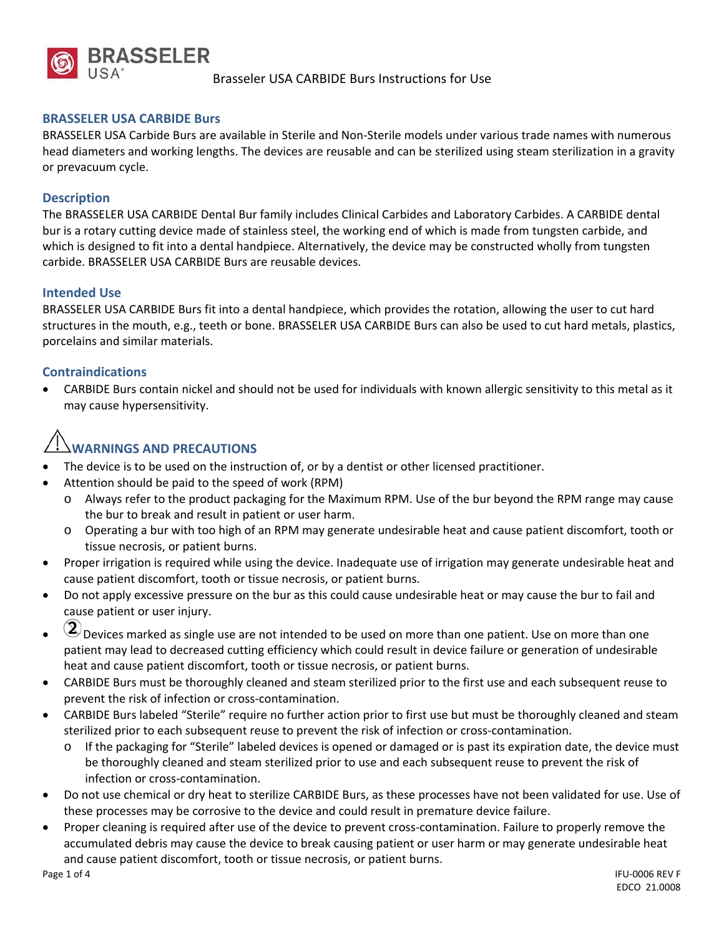

## **BRASSELER USA CARBIDE Burs**

BRASSELER USA Carbide Burs are available in Sterile and Non‐Sterile models under various trade names with numerous head diameters and working lengths. The devices are reusable and can be sterilized using steam sterilization in a gravity or prevacuum cycle.

### **Description**

The BRASSELER USA CARBIDE Dental Bur family includes Clinical Carbides and Laboratory Carbides. A CARBIDE dental bur is a rotary cutting device made of stainless steel, the working end of which is made from tungsten carbide, and which is designed to fit into a dental handpiece. Alternatively, the device may be constructed wholly from tungsten carbide. BRASSELER USA CARBIDE Burs are reusable devices.

### **Intended Use**

BRASSELER USA CARBIDE Burs fit into a dental handpiece, which provides the rotation, allowing the user to cut hard structures in the mouth, e.g., teeth or bone. BRASSELER USA CARBIDE Burs can also be used to cut hard metals, plastics, porcelains and similar materials.

### **Contraindications**

 CARBIDE Burs contain nickel and should not be used for individuals with known allergic sensitivity to this metal as it may cause hypersensitivity.

# **WARNINGS AND PRECAUTIONS**

- The device is to be used on the instruction of, or by a dentist or other licensed practitioner.
- Attention should be paid to the speed of work (RPM)
	- o Always refer to the product packaging for the Maximum RPM. Use of the bur beyond the RPM range may cause the bur to break and result in patient or user harm.
	- o Operating a bur with too high of an RPM may generate undesirable heat and cause patient discomfort, tooth or tissue necrosis, or patient burns.
- Proper irrigation is required while using the device. Inadequate use of irrigation may generate undesirable heat and cause patient discomfort, tooth or tissue necrosis, or patient burns.
- Do not apply excessive pressure on the bur as this could cause undesirable heat or may cause the bur to fail and cause patient or user injury.
- $\circled{2}$  Devices marked as single use are not intended to be used on more than one patient. Use on more than one patient may lead to decreased cutting efficiency which could result in device failure or generation of undesirable heat and cause patient discomfort, tooth or tissue necrosis, or patient burns.
- CARBIDE Burs must be thoroughly cleaned and steam sterilized prior to the first use and each subsequent reuse to prevent the risk of infection or cross‐contamination.
- CARBIDE Burs labeled "Sterile" require no further action prior to first use but must be thoroughly cleaned and steam sterilized prior to each subsequent reuse to prevent the risk of infection or cross-contamination.
	- o If the packaging for "Sterile" labeled devices is opened or damaged or is past its expiration date, the device must be thoroughly cleaned and steam sterilized prior to use and each subsequent reuse to prevent the risk of infection or cross‐contamination.
- Do not use chemical or dry heat to sterilize CARBIDE Burs, as these processes have not been validated for use. Use of these processes may be corrosive to the device and could result in premature device failure.
- Proper cleaning is required after use of the device to prevent cross-contamination. Failure to properly remove the accumulated debris may cause the device to break causing patient or user harm or may generate undesirable heat and cause patient discomfort, tooth or tissue necrosis, or patient burns.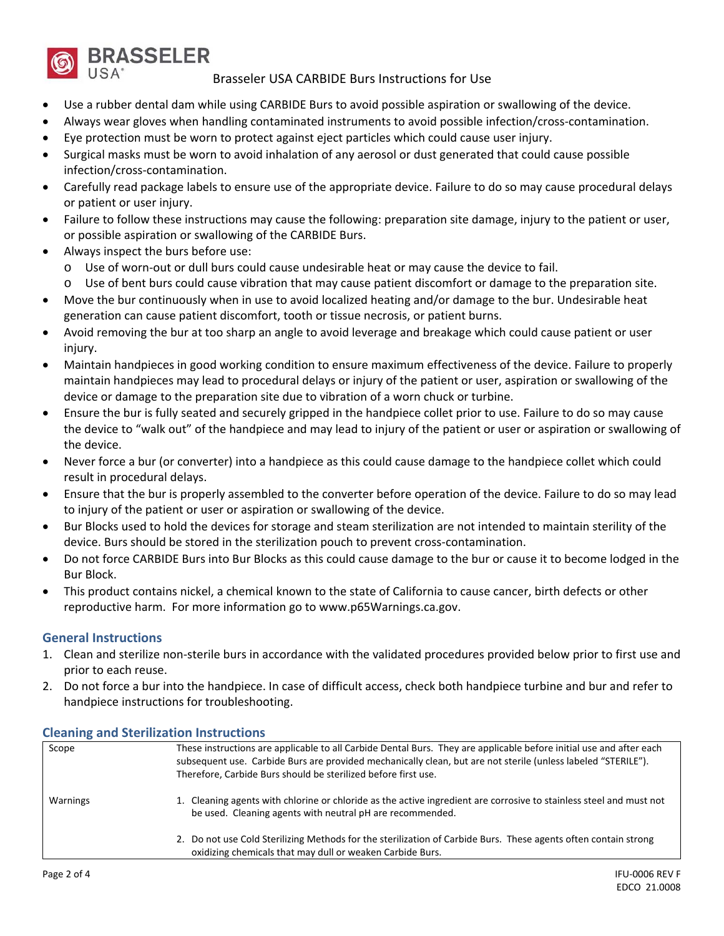

Brasseler USA CARBIDE Burs Instructions for Use

- Use a rubber dental dam while using CARBIDE Burs to avoid possible aspiration or swallowing of the device.
- Always wear gloves when handling contaminated instruments to avoid possible infection/cross‐contamination.
- Eye protection must be worn to protect against eject particles which could cause user injury.
- Surgical masks must be worn to avoid inhalation of any aerosol or dust generated that could cause possible infection/cross‐contamination.
- Carefully read package labels to ensure use of the appropriate device. Failure to do so may cause procedural delays or patient or user injury.
- Failure to follow these instructions may cause the following: preparation site damage, injury to the patient or user, or possible aspiration or swallowing of the CARBIDE Burs.
- Always inspect the burs before use:
	- o Use of worn‐out or dull burs could cause undesirable heat or may cause the device to fail.
	- o Use of bent burs could cause vibration that may cause patient discomfort or damage to the preparation site.
- Move the bur continuously when in use to avoid localized heating and/or damage to the bur. Undesirable heat generation can cause patient discomfort, tooth or tissue necrosis, or patient burns.
- Avoid removing the bur at too sharp an angle to avoid leverage and breakage which could cause patient or user injury.
- Maintain handpieces in good working condition to ensure maximum effectiveness of the device. Failure to properly maintain handpieces may lead to procedural delays or injury of the patient or user, aspiration or swallowing of the device or damage to the preparation site due to vibration of a worn chuck or turbine.
- Ensure the bur is fully seated and securely gripped in the handpiece collet prior to use. Failure to do so may cause the device to "walk out" of the handpiece and may lead to injury of the patient or user or aspiration or swallowing of the device.
- Never force a bur (or converter) into a handpiece as this could cause damage to the handpiece collet which could result in procedural delays.
- Ensure that the bur is properly assembled to the converter before operation of the device. Failure to do so may lead to injury of the patient or user or aspiration or swallowing of the device.
- Bur Blocks used to hold the devices for storage and steam sterilization are not intended to maintain sterility of the device. Burs should be stored in the sterilization pouch to prevent cross‐contamination.
- Do not force CARBIDE Burs into Bur Blocks as this could cause damage to the bur or cause it to become lodged in the Bur Block.
- This product contains nickel, a chemical known to the state of California to cause cancer, birth defects or other reproductive harm. For more information go to www.p65Warnings.ca.gov.

## **General Instructions**

- 1. Clean and sterilize non‐sterile burs in accordance with the validated procedures provided below prior to first use and prior to each reuse.
- 2. Do not force a bur into the handpiece. In case of difficult access, check both handpiece turbine and bur and refer to handpiece instructions for troubleshooting.

| Scope    | These instructions are applicable to all Carbide Dental Burs. They are applicable before initial use and after each<br>subsequent use. Carbide Burs are provided mechanically clean, but are not sterile (unless labeled "STERILE").<br>Therefore, Carbide Burs should be sterilized before first use. |
|----------|--------------------------------------------------------------------------------------------------------------------------------------------------------------------------------------------------------------------------------------------------------------------------------------------------------|
| Warnings | 1. Cleaning agents with chlorine or chloride as the active ingredient are corrosive to stainless steel and must not<br>be used. Cleaning agents with neutral pH are recommended.                                                                                                                       |
|          | 2. Do not use Cold Sterilizing Methods for the sterilization of Carbide Burs. These agents often contain strong<br>oxidizing chemicals that may dull or weaken Carbide Burs.                                                                                                                           |

## **Cleaning and Sterilization Instructions**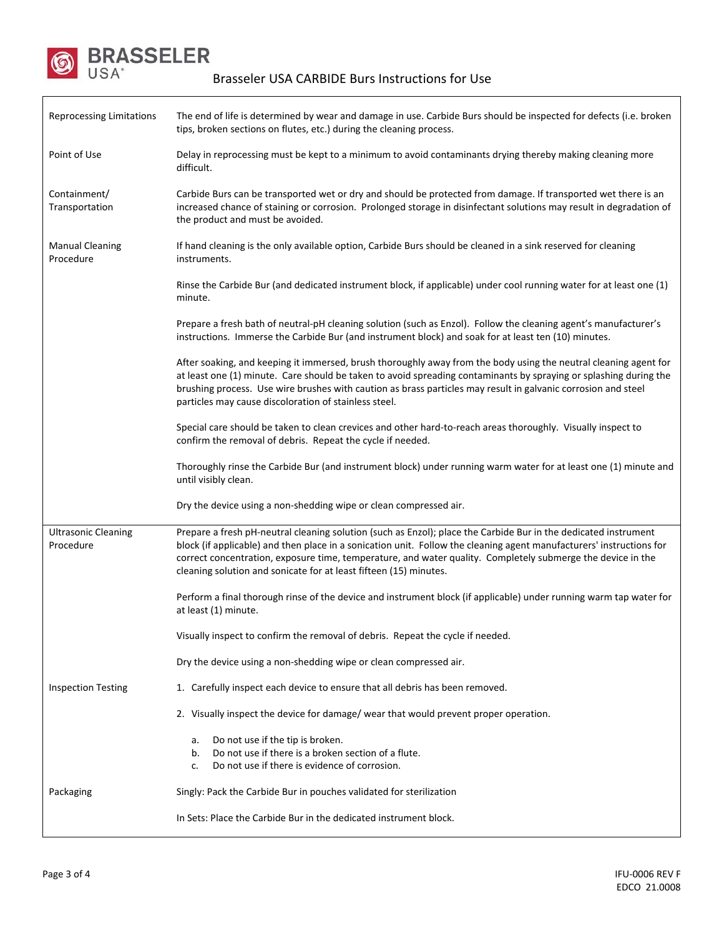

 $\mathsf{l}$ 

| <b>Reprocessing Limitations</b>                                   | The end of life is determined by wear and damage in use. Carbide Burs should be inspected for defects (i.e. broken<br>tips, broken sections on flutes, etc.) during the cleaning process.                                                                                                                                                                                                                                   |  |  |  |  |
|-------------------------------------------------------------------|-----------------------------------------------------------------------------------------------------------------------------------------------------------------------------------------------------------------------------------------------------------------------------------------------------------------------------------------------------------------------------------------------------------------------------|--|--|--|--|
| Point of Use                                                      | Delay in reprocessing must be kept to a minimum to avoid contaminants drying thereby making cleaning more<br>difficult.                                                                                                                                                                                                                                                                                                     |  |  |  |  |
| Containment/<br>Transportation                                    | Carbide Burs can be transported wet or dry and should be protected from damage. If transported wet there is an<br>increased chance of staining or corrosion. Prolonged storage in disinfectant solutions may result in degradation of<br>the product and must be avoided.                                                                                                                                                   |  |  |  |  |
| <b>Manual Cleaning</b><br>Procedure                               | If hand cleaning is the only available option, Carbide Burs should be cleaned in a sink reserved for cleaning<br>instruments.                                                                                                                                                                                                                                                                                               |  |  |  |  |
|                                                                   | Rinse the Carbide Bur (and dedicated instrument block, if applicable) under cool running water for at least one (1)<br>minute.                                                                                                                                                                                                                                                                                              |  |  |  |  |
|                                                                   | Prepare a fresh bath of neutral-pH cleaning solution (such as Enzol). Follow the cleaning agent's manufacturer's<br>instructions. Immerse the Carbide Bur (and instrument block) and soak for at least ten (10) minutes.                                                                                                                                                                                                    |  |  |  |  |
|                                                                   | After soaking, and keeping it immersed, brush thoroughly away from the body using the neutral cleaning agent for<br>at least one (1) minute. Care should be taken to avoid spreading contaminants by spraying or splashing during the<br>brushing process. Use wire brushes with caution as brass particles may result in galvanic corrosion and steel<br>particles may cause discoloration of stainless steel.             |  |  |  |  |
|                                                                   | Special care should be taken to clean crevices and other hard-to-reach areas thoroughly. Visually inspect to<br>confirm the removal of debris. Repeat the cycle if needed.                                                                                                                                                                                                                                                  |  |  |  |  |
|                                                                   | Thoroughly rinse the Carbide Bur (and instrument block) under running warm water for at least one (1) minute and<br>until visibly clean.                                                                                                                                                                                                                                                                                    |  |  |  |  |
|                                                                   | Dry the device using a non-shedding wipe or clean compressed air.                                                                                                                                                                                                                                                                                                                                                           |  |  |  |  |
| <b>Ultrasonic Cleaning</b><br>Procedure                           | Prepare a fresh pH-neutral cleaning solution (such as Enzol); place the Carbide Bur in the dedicated instrument<br>block (if applicable) and then place in a sonication unit. Follow the cleaning agent manufacturers' instructions for<br>correct concentration, exposure time, temperature, and water quality. Completely submerge the device in the<br>cleaning solution and sonicate for at least fifteen (15) minutes. |  |  |  |  |
|                                                                   | Perform a final thorough rinse of the device and instrument block (if applicable) under running warm tap water for<br>at least (1) minute.                                                                                                                                                                                                                                                                                  |  |  |  |  |
|                                                                   | Visually inspect to confirm the removal of debris. Repeat the cycle if needed.                                                                                                                                                                                                                                                                                                                                              |  |  |  |  |
|                                                                   | Dry the device using a non-shedding wipe or clean compressed air.                                                                                                                                                                                                                                                                                                                                                           |  |  |  |  |
| <b>Inspection Testing</b>                                         | 1. Carefully inspect each device to ensure that all debris has been removed.                                                                                                                                                                                                                                                                                                                                                |  |  |  |  |
|                                                                   | 2. Visually inspect the device for damage/ wear that would prevent proper operation.                                                                                                                                                                                                                                                                                                                                        |  |  |  |  |
|                                                                   | Do not use if the tip is broken.<br>a.<br>Do not use if there is a broken section of a flute.<br>b.<br>Do not use if there is evidence of corrosion.<br>c.                                                                                                                                                                                                                                                                  |  |  |  |  |
| Packaging                                                         | Singly: Pack the Carbide Bur in pouches validated for sterilization                                                                                                                                                                                                                                                                                                                                                         |  |  |  |  |
| In Sets: Place the Carbide Bur in the dedicated instrument block. |                                                                                                                                                                                                                                                                                                                                                                                                                             |  |  |  |  |